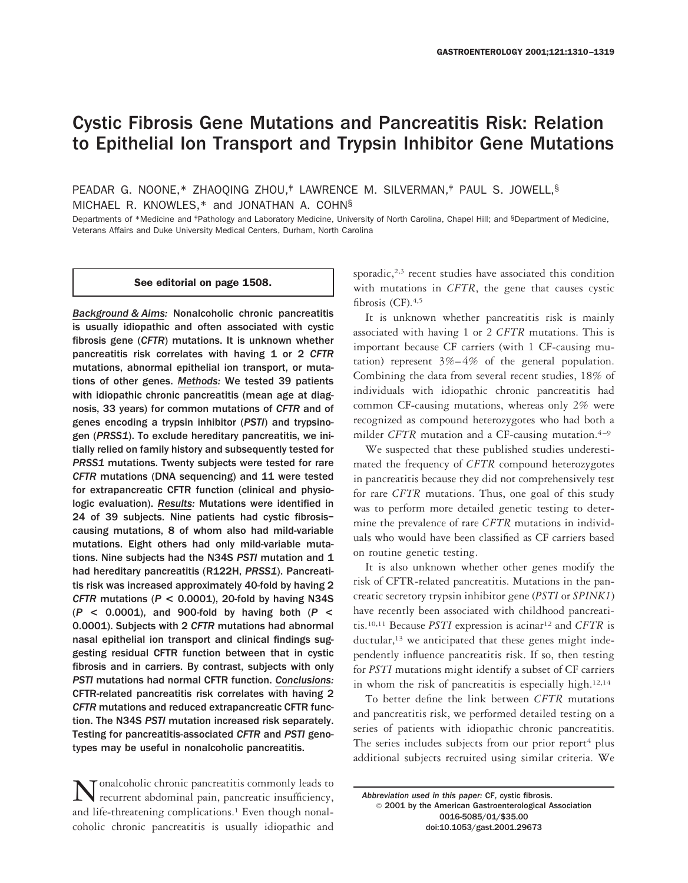# Cystic Fibrosis Gene Mutations and Pancreatitis Risk: Relation to Epithelial Ion Transport and Trypsin Inhibitor Gene Mutations

PEADAR G. NOONE,\* ZHAOQING ZHOU,<sup>†</sup> LAWRENCE M. SILVERMAN,<sup>†</sup> PAUL S. JOWELL,<sup>§</sup> MICHAEL R. KNOWLES,\* and JONATHAN A. COHN§

Departments of \*Medicine and *\*Pathology and Laboratory Medicine*, University of North Carolina, Chapel Hill; and <sup>§</sup>Department of Medicine, Veterans Affairs and Duke University Medical Centers, Durham, North Carolina

#### See editorial on page 1508.

*Background & Aims:* Nonalcoholic chronic pancreatitis is usually idiopathic and often associated with cystic fibrosis gene (*CFTR*) mutations. It is unknown whether pancreatitis risk correlates with having 1 or 2 *CFTR* mutations, abnormal epithelial ion transport, or mutations of other genes. *Methods:* We tested 39 patients with idiopathic chronic pancreatitis (mean age at diagnosis, 33 years) for common mutations of *CFTR* and of genes encoding a trypsin inhibitor (*PSTI*) and trypsinogen (*PRSS1*). To exclude hereditary pancreatitis, we initially relied on family history and subsequently tested for *PRSS1* mutations. Twenty subjects were tested for rare *CFTR* mutations (DNA sequencing) and 11 were tested for extrapancreatic CFTR function (clinical and physiologic evaluation). *Results:* Mutations were identified in 24 of 39 subjects. Nine patients had cystic fibrosis– causing mutations, 8 of whom also had mild-variable mutations. Eight others had only mild-variable mutations. Nine subjects had the N34S *PSTI* mutation and 1 had hereditary pancreatitis (R122H, *PRSS1*). Pancreatitis risk was increased approximately 40-fold by having 2 *CFTR* mutations (*P* **<** 0.0001), 20-fold by having N34S (*P* **<** 0.0001), and 900-fold by having both (*P* **<** 0.0001). Subjects with 2 *CFTR* mutations had abnormal nasal epithelial ion transport and clinical findings suggesting residual CFTR function between that in cystic fibrosis and in carriers. By contrast, subjects with only *PSTI* mutations had normal CFTR function. *Conclusions:* CFTR-related pancreatitis risk correlates with having 2 *CFTR* mutations and reduced extrapancreatic CFTR function. The N34S *PSTI* mutation increased risk separately. Testing for pancreatitis-associated *CFTR* and *PSTI* genotypes may be useful in nonalcoholic pancreatitis.

Tonalcoholic chronic pancreatitis commonly leads to recurrent abdominal pain, pancreatic insufficiency, and life-threatening complications.<sup>1</sup> Even though nonalcoholic chronic pancreatitis is usually idiopathic and sporadic, $2,3$  recent studies have associated this condition with mutations in *CFTR*, the gene that causes cystic fibrosis  $(CF)$ .<sup>4,5</sup>

It is unknown whether pancreatitis risk is mainly associated with having 1 or 2 *CFTR* mutations. This is important because CF carriers (with 1 CF-causing mutation) represent 3%–4% of the general population. Combining the data from several recent studies, 18% of individuals with idiopathic chronic pancreatitis had common CF-causing mutations, whereas only 2% were recognized as compound heterozygotes who had both a milder *CFTR* mutation and a CF-causing mutation.<sup>4–9</sup>

We suspected that these published studies underestimated the frequency of *CFTR* compound heterozygotes in pancreatitis because they did not comprehensively test for rare *CFTR* mutations. Thus, one goal of this study was to perform more detailed genetic testing to determine the prevalence of rare *CFTR* mutations in individuals who would have been classified as CF carriers based on routine genetic testing.

It is also unknown whether other genes modify the risk of CFTR-related pancreatitis. Mutations in the pancreatic secretory trypsin inhibitor gene (*PSTI* or *SPINK1*) have recently been associated with childhood pancreatitis.10,11 Because *PSTI* expression is acinar12 and *CFTR* is ductular,<sup>13</sup> we anticipated that these genes might independently influence pancreatitis risk. If so, then testing for *PSTI* mutations might identify a subset of CF carriers in whom the risk of pancreatitis is especially high.12,14

To better define the link between *CFTR* mutations and pancreatitis risk, we performed detailed testing on a series of patients with idiopathic chronic pancreatitis. The series includes subjects from our prior report<sup>4</sup> plus additional subjects recruited using similar criteria. We

*Abbreviation used in this paper:* CF, cystic fibrosis. © 2001 by the American Gastroenterological Association 0016-5085/01/\$35.00 doi:10.1053/gast.2001.29673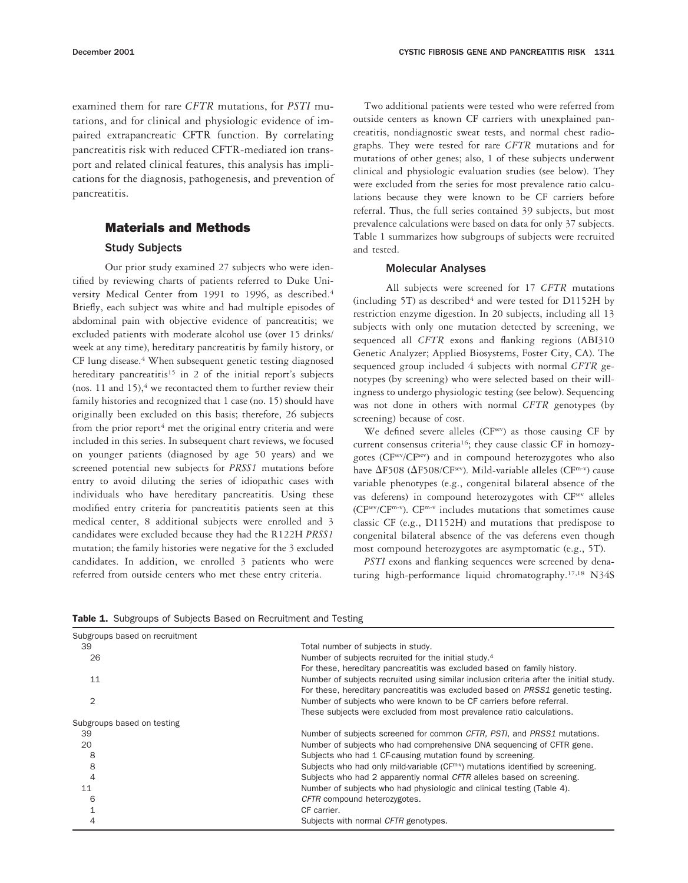examined them for rare *CFTR* mutations, for *PSTI* mutations, and for clinical and physiologic evidence of impaired extrapancreatic CFTR function. By correlating pancreatitis risk with reduced CFTR-mediated ion transport and related clinical features, this analysis has implications for the diagnosis, pathogenesis, and prevention of pancreatitis.

## Materials and Methods

## Study Subjects

Our prior study examined 27 subjects who were identified by reviewing charts of patients referred to Duke University Medical Center from 1991 to 1996, as described.4 Briefly, each subject was white and had multiple episodes of abdominal pain with objective evidence of pancreatitis; we excluded patients with moderate alcohol use (over 15 drinks/ week at any time), hereditary pancreatitis by family history, or CF lung disease.<sup>4</sup> When subsequent genetic testing diagnosed hereditary pancreatitis<sup>15</sup> in 2 of the initial report's subjects (nos. 11 and 15), $4$  we recontacted them to further review their family histories and recognized that 1 case (no. 15) should have originally been excluded on this basis; therefore, 26 subjects from the prior report<sup>4</sup> met the original entry criteria and were included in this series. In subsequent chart reviews, we focused on younger patients (diagnosed by age 50 years) and we screened potential new subjects for *PRSS1* mutations before entry to avoid diluting the series of idiopathic cases with individuals who have hereditary pancreatitis. Using these modified entry criteria for pancreatitis patients seen at this medical center, 8 additional subjects were enrolled and 3 candidates were excluded because they had the R122H *PRSS1* mutation; the family histories were negative for the 3 excluded candidates. In addition, we enrolled 3 patients who were referred from outside centers who met these entry criteria.

Two additional patients were tested who were referred from outside centers as known CF carriers with unexplained pancreatitis, nondiagnostic sweat tests, and normal chest radiographs. They were tested for rare *CFTR* mutations and for mutations of other genes; also, 1 of these subjects underwent clinical and physiologic evaluation studies (see below). They were excluded from the series for most prevalence ratio calculations because they were known to be CF carriers before referral. Thus, the full series contained 39 subjects, but most prevalence calculations were based on data for only 37 subjects. Table 1 summarizes how subgroups of subjects were recruited and tested.

## Molecular Analyses

All subjects were screened for 17 *CFTR* mutations (including 5T) as described<sup>4</sup> and were tested for  $D1152H$  by restriction enzyme digestion. In 20 subjects, including all 13 subjects with only one mutation detected by screening, we sequenced all *CFTR* exons and flanking regions (ABI310 Genetic Analyzer; Applied Biosystems, Foster City, CA). The sequenced group included 4 subjects with normal *CFTR* genotypes (by screening) who were selected based on their willingness to undergo physiologic testing (see below). Sequencing was not done in others with normal *CFTR* genotypes (by screening) because of cost.

We defined severe alleles (CF<sup>sev</sup>) as those causing CF by current consensus criteria<sup>16</sup>; they cause classic CF in homozygotes (CFsev/CFsev) and in compound heterozygotes who also have  $\Delta$ F508 ( $\Delta$ F508/CF<sup>sev</sup>). Mild-variable alleles (CF<sup>m-v</sup>) cause variable phenotypes (e.g., congenital bilateral absence of the vas deferens) in compound heterozygotes with CFsev alleles (CFsev/CFm-v). CFm-v includes mutations that sometimes cause classic CF (e.g., D1152H) and mutations that predispose to congenital bilateral absence of the vas deferens even though most compound heterozygotes are asymptomatic (e.g., 5T).

*PSTI* exons and flanking sequences were screened by denaturing high-performance liquid chromatography.17,18 N34S

| Subgroups based on recruitment |                                                                                          |
|--------------------------------|------------------------------------------------------------------------------------------|
| 39                             | Total number of subjects in study.                                                       |
| 26                             | Number of subjects recruited for the initial study. <sup>4</sup>                         |
|                                | For these, hereditary pancreatitis was excluded based on family history.                 |
| 11                             | Number of subjects recruited using similar inclusion criteria after the initial study.   |
|                                | For these, hereditary pancreatitis was excluded based on PRSS1 genetic testing.          |
| 2                              | Number of subjects who were known to be CF carriers before referral.                     |
|                                | These subjects were excluded from most prevalence ratio calculations.                    |
| Subgroups based on testing     |                                                                                          |
| 39                             | Number of subjects screened for common CFTR, PSTI, and PRSS1 mutations.                  |
| 20                             | Number of subjects who had comprehensive DNA sequencing of CFTR gene.                    |
| 8                              | Subjects who had 1 CF-causing mutation found by screening.                               |
| 8                              | Subjects who had only mild-variable $(CF^{m\cdot v})$ mutations identified by screening. |
| 4                              | Subjects who had 2 apparently normal CFTR alleles based on screening.                    |
| 11                             | Number of subjects who had physiologic and clinical testing (Table 4).                   |
| 6                              | CFTR compound heterozygotes.                                                             |
|                                | CF carrier.                                                                              |
| 4                              | Subjects with normal CFTR genotypes.                                                     |

Table 1. Subgroups of Subjects Based on Recruitment and Testing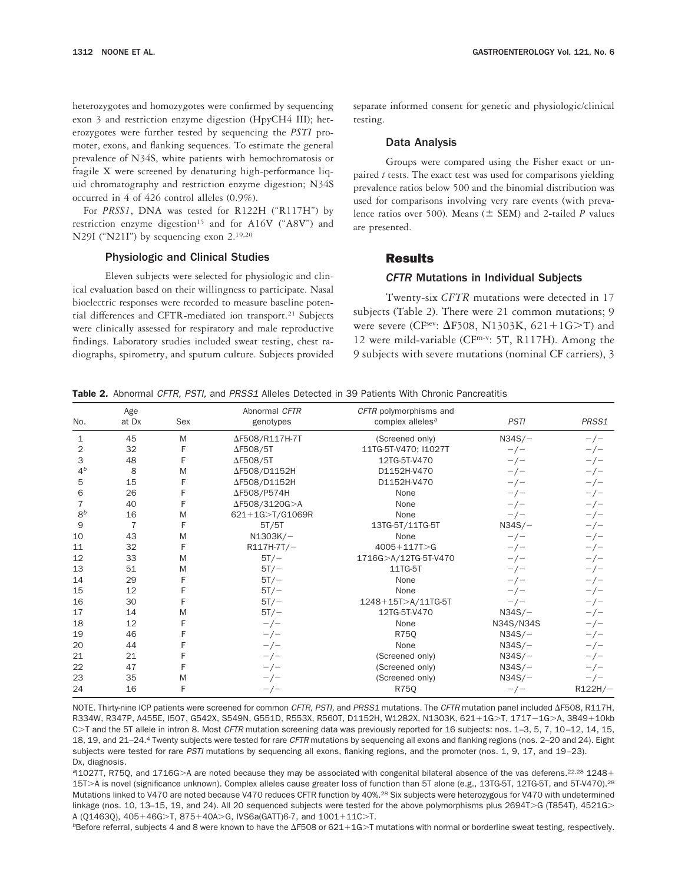heterozygotes and homozygotes were confirmed by sequencing exon 3 and restriction enzyme digestion (HpyCH4 III); heterozygotes were further tested by sequencing the *PSTI* promoter, exons, and flanking sequences. To estimate the general prevalence of N34S, white patients with hemochromatosis or fragile X were screened by denaturing high-performance liquid chromatography and restriction enzyme digestion; N34S occurred in 4 of 426 control alleles (0.9%).

For *PRSS1*, DNA was tested for R122H ("R117H") by restriction enzyme digestion<sup>15</sup> and for A16V ("A8V") and N29I ("N21I") by sequencing exon 2.19,20

#### Physiologic and Clinical Studies

Eleven subjects were selected for physiologic and clinical evaluation based on their willingness to participate. Nasal bioelectric responses were recorded to measure baseline potential differences and CFTR-mediated ion transport.<sup>21</sup> Subjects were clinically assessed for respiratory and male reproductive findings. Laboratory studies included sweat testing, chest radiographs, spirometry, and sputum culture. Subjects provided separate informed consent for genetic and physiologic/clinical testing.

#### Data Analysis

Groups were compared using the Fisher exact or unpaired *t* tests. The exact test was used for comparisons yielding prevalence ratios below 500 and the binomial distribution was used for comparisons involving very rare events (with prevalence ratios over 500). Means  $(\pm$  SEM) and 2-tailed *P* values are presented.

## Results

#### *CFTR* Mutations in Individual Subjects

Twenty-six *CFTR* mutations were detected in 17 subjects (Table 2). There were 21 common mutations; 9 were severe (CF<sup>sev</sup>:  $\Delta$ F508, N1303K, 621+1G $>$ T) and 12 were mild-variable (CFm-v: 5T, R117H). Among the 9 subjects with severe mutations (nominal CF carriers), 3

|  |  |  |  |  |  |  |  |  |  |  |  | Table 2. Abnormal CFTR, PSTI, and PRSS1 Alleles Detected in 39 Patients With Chronic Pancreatitis |
|--|--|--|--|--|--|--|--|--|--|--|--|---------------------------------------------------------------------------------------------------|
|--|--|--|--|--|--|--|--|--|--|--|--|---------------------------------------------------------------------------------------------------|

| No.            | Age<br>at Dx | Sex | Abnormal CFTR<br>genotypes | CFTR polymorphisms and<br>complex alleles <sup>a</sup> | <b>PSTI</b> | PRSS1     |
|----------------|--------------|-----|----------------------------|--------------------------------------------------------|-------------|-----------|
| 1              | 45           | M   | ΔF508/R117H-7T             | (Screened only)                                        | $N34S/-$    | $-/-$     |
| 2              | 32           | F   | $\Delta$ F508/5T           | 11TG-5T-V470; I1027T                                   | $-/-$       | $-/-$     |
| 3              | 48           | F   | $\Delta$ F508/5T           | 12TG-5T-V470                                           | $-/-$       | $-/-$     |
| 4 <sup>b</sup> | 8            | M   | ΔF508/D1152H               | D1152H-V470                                            | $-/-$       | $-/-$     |
| 5              | 15           | F   | ΔF508/D1152H               | D1152H-V470                                            | $-/-$       | $-/-$     |
| 6              | 26           |     | ΔF508/P574H                | None                                                   | $-/-$       | $-/-$     |
|                | 40           |     | ΔF508/3120G>A              | None                                                   | $-/-$       | $-/-$     |
| 8 <sup>b</sup> | 16           | M   | 621+1G>T/G1069R            | None                                                   | $-/-$       |           |
| 9              | 7            | F   |                            |                                                        |             | $-/-$     |
| 10             | 43           | M   | 5T/5T                      | 13TG-5T/11TG-5T                                        | $N34S/-$    | $-/-$     |
|                |              |     | $N1303K/-$                 | None                                                   | $-/-$       | $-/-$     |
| 11             | 32           | F   | $R117H-7T/-$               | $4005 + 117T > G$                                      | $-/-$       | $-/-$     |
| 12             | 33           | M   | $5T/-$                     | 1716G>A/12TG-5T-V470                                   | $-/-$       | $-/-$     |
| 13             | 51           | M   | $5T/-$                     | 11TG-5T                                                | $-/-$       | $-/-$     |
| 14             | 29           |     | $5T/-$                     | None                                                   | $-/-$       | $-/-$     |
| 15             | 12           |     | $5T/-$                     | None                                                   | $-/-$       | $-/-$     |
| 16             | 30           |     | $5T/-$                     | 1248+15T>A/11TG-5T                                     | $-/-$       | $-/-$     |
| 17             | 14           | M   | $5T/-$                     | 12TG-5T-V470                                           | $N34S/-$    | $-/-$     |
| 18             | 12           |     | $-/-$                      | None                                                   | N34S/N34S   | $-/-$     |
| 19             | 46           |     | $-/-$                      | R750                                                   | $N34S/-$    | $-/-$     |
| 20             | 44           |     | $-/-$                      | None                                                   | $N34S/-$    | $-/-$     |
| 21             | 21           |     | $-/-$                      | (Screened only)                                        | $N34S/-$    | $-/-$     |
| 22             | 47           |     | $-/-$                      | (Screened only)                                        | $N34S/-$    | $-/-$     |
| 23             | 35           | M   | $-/-$                      | (Screened only)                                        | $N34S/-$    | $-/-$     |
| 24             | 16           | F   | $-/-$                      | <b>R75Q</b>                                            | $-/-$       | $R122H/-$ |

NOTE. Thirty-nine ICP patients were screened for common CFTR, PSTI, and PRSS1 mutations. The CFTR mutation panel included  $\Delta$ F508, R117H, R334W, R347P, A455E, I507, G542X, S549N, G551D, R553X, R560T, D1152H, W1282X, N1303K, 621+1G>T, 1717-1G>A, 3849+10kb C>T and the 5T allele in intron 8. Most CFTR mutation screening data was previously reported for 16 subjects: nos. 1-3, 5, 7, 10-12, 14, 15, 18, 19, and 21–24.4 Twenty subjects were tested for rare CFTR mutations by sequencing all exons and flanking regions (nos. 2–20 and 24). Eight subjects were tested for rare PSTI mutations by sequencing all exons, flanking regions, and the promoter (nos. 1, 9, 17, and 19-23). Dx, diagnosis.

<sup>a</sup>11027T, R75Q, and 1716G>A are noted because they may be associated with congenital bilateral absence of the vas deferens.<sup>22,28</sup> 1248+ 15T>A is novel (significance unknown). Complex alleles cause greater loss of function than 5T alone (e.g., 13TG-5T, 12TG-5T, and 5T-V470).<sup>28</sup> Mutations linked to V470 are noted because V470 reduces CFTR function by 40%.<sup>28</sup> Six subjects were heterozygous for V470 with undetermined linkage (nos. 10, 13-15, 19, and 24). All 20 sequenced subjects were tested for the above polymorphisms plus 2694T>G (T854T), 4521G> A (Q1463Q),  $405+46$ G $>$ T,  $875+40$ A $>$ G, IVS6a(GATT)6-7, and  $1001+11$ C $>$ T.

 $b$ Before referral, subjects 4 and 8 were known to have the  $\Delta$ F508 or 621+1G>T mutations with normal or borderline sweat testing, respectively.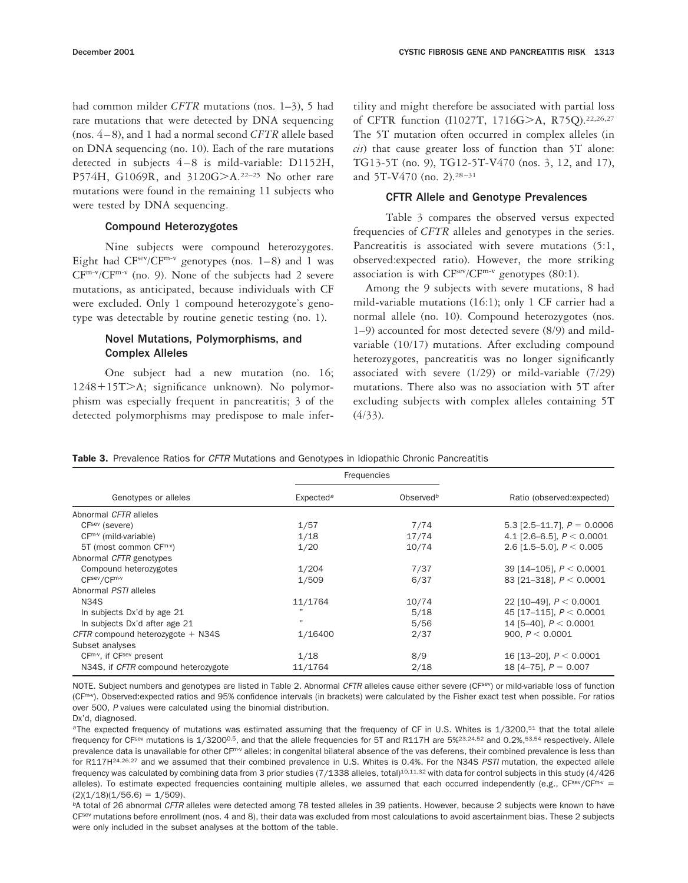had common milder *CFTR* mutations (nos. 1–3), 5 had rare mutations that were detected by DNA sequencing (nos. 4–8), and 1 had a normal second *CFTR* allele based on DNA sequencing (no. 10). Each of the rare mutations detected in subjects 4–8 is mild-variable: D1152H, P574H, G1069R, and 3120G>A.<sup>22-25</sup> No other rare mutations were found in the remaining 11 subjects who were tested by DNA sequencing.

### Compound Heterozygotes

Nine subjects were compound heterozygotes. Eight had  $CF^{sev}/CF^{m-v}$  genotypes (nos. 1–8) and 1 was CFm-v/CFm-v (no. 9). None of the subjects had 2 severe mutations, as anticipated, because individuals with CF were excluded. Only 1 compound heterozygote's genotype was detectable by routine genetic testing (no. 1).

## Novel Mutations, Polymorphisms, and Complex Alleles

One subject had a new mutation (no. 16; 1248+15T>A; significance unknown). No polymorphism was especially frequent in pancreatitis; 3 of the detected polymorphisms may predispose to male infertility and might therefore be associated with partial loss of CFTR function (I1027T, 1716G>A, R75Q).<sup>22,26,27</sup> The 5T mutation often occurred in complex alleles (in *cis*) that cause greater loss of function than 5T alone: TG13-5T (no. 9), TG12-5T-V470 (nos. 3, 12, and 17), and 5T-V470 (no. 2).28–31

#### CFTR Allele and Genotype Prevalences

Table 3 compares the observed versus expected frequencies of *CFTR* alleles and genotypes in the series. Pancreatitis is associated with severe mutations (5:1, observed:expected ratio). However, the more striking association is with  $CF^{sev}/CF^{m-v}$  genotypes (80:1).

Among the 9 subjects with severe mutations, 8 had mild-variable mutations (16:1); only 1 CF carrier had a normal allele (no. 10). Compound heterozygotes (nos. 1–9) accounted for most detected severe (8/9) and mildvariable (10/17) mutations. After excluding compound heterozygotes, pancreatitis was no longer significantly associated with severe (1/29) or mild-variable (7/29) mutations. There also was no association with 5T after excluding subjects with complex alleles containing 5T (4/33).

|  |  |  |  |  | Table 3. Prevalence Ratios for CFTR Mutations and Genotypes in Idiopathic Chronic Pancreatitis |
|--|--|--|--|--|------------------------------------------------------------------------------------------------|
|  |  |  |  |  |                                                                                                |

|                                     | Frequencies           |                       |                              |  |
|-------------------------------------|-----------------------|-----------------------|------------------------------|--|
| Genotypes or alleles                | Expected <sup>a</sup> | Observed <sup>b</sup> | Ratio (observed: expected)   |  |
| Abnormal CFTR alleles               |                       |                       |                              |  |
| CFsev (severe)                      | 1/57                  | 7/74                  | 5.3 [2.5–11.7], $P = 0.0006$ |  |
| $CF^{m \cdot v}$ (mild-variable)    | 1/18                  | 17/74                 | 4.1 [2.6-6.5], $P < 0.0001$  |  |
| 5T (most common CFm-v)              | 1/20                  | 10/74                 | 2.6 [1.5–5.0], $P < 0.005$   |  |
| Abnormal CFTR genotypes             |                       |                       |                              |  |
| Compound heterozygotes              | 1/204                 | 7/37                  | 39 [14-105], $P < 0.0001$    |  |
| $CFsev/CFm-v$                       | 1/509                 | 6/37                  | 83 [21-318], $P < 0.0001$    |  |
| Abnormal PSTI alleles               |                       |                       |                              |  |
| <b>N34S</b>                         | 11/1764               | 10/74                 | 22 [10-49], $P < 0.0001$     |  |
| In subjects Dx'd by age 21          |                       | 5/18                  | 45 [17-115], $P < 0.0001$    |  |
| In subjects Dx'd after age 21       | $^{\prime}$           | 5/56                  | 14 [5-40], $P < 0.0001$      |  |
| CFTR compound heterozygote $+$ N34S | 1/16400               | 2/37                  | 900. $P < 0.0001$            |  |
| Subset analyses                     |                       |                       |                              |  |
| $CFm-v$ , if $CFsev$ present        | 1/18                  | 8/9                   | 16 [13-20], $P < 0.0001$     |  |
| N34S, if CFTR compound heterozygote | 11/1764               | 2/18                  | 18 [4-75], $P = 0.007$       |  |

NOTE. Subject numbers and genotypes are listed in Table 2. Abnormal CFTR alleles cause either severe (CFsev) or mild-variable loss of function (CF<sup>m-v</sup>). Observed: expected ratios and 95% confidence intervals (in brackets) were calculated by the Fisher exact test when possible. For ratios over 500, <sup>P</sup> values were calculated using the binomial distribution.

Dx'd, diagnosed.

<sup>a</sup>The expected frequency of mutations was estimated assuming that the frequency of CF in U.S. Whites is 1/3200,<sup>51</sup> that the total allele frequency for CF<sup>sev</sup> mutations is 1/3200<sup>0.5</sup>, and that the allele frequencies for 5T and R117H are 5%<sup>23,24,52</sup> and 0.2%,<sup>53,54</sup> respectively. Allele prevalence data is unavailable for other CFm-v alleles; in congenital bilateral absence of the vas deferens, their combined prevalence is less than for R117H<sup>24,26,27</sup> and we assumed that their combined prevalence in U.S. Whites is 0.4%. For the N34S PSTI mutation, the expected allele frequency was calculated by combining data from 3 prior studies (7/1338 alleles, total)<sup>10,11,32</sup> with data for control subjects in this study (4/426 alleles). To estimate expected frequencies containing multiple alleles, we assumed that each occurred independently (e.g., CFsev/CFm-v =  $(2)(1/18)(1/56.6) = 1/509$ .

bA total of 26 abnormal CFTR alleles were detected among 78 tested alleles in 39 patients. However, because 2 subjects were known to have CF<sup>sev</sup> mutations before enrollment (nos. 4 and 8), their data was excluded from most calculations to avoid ascertainment bias. These 2 subjects were only included in the subset analyses at the bottom of the table.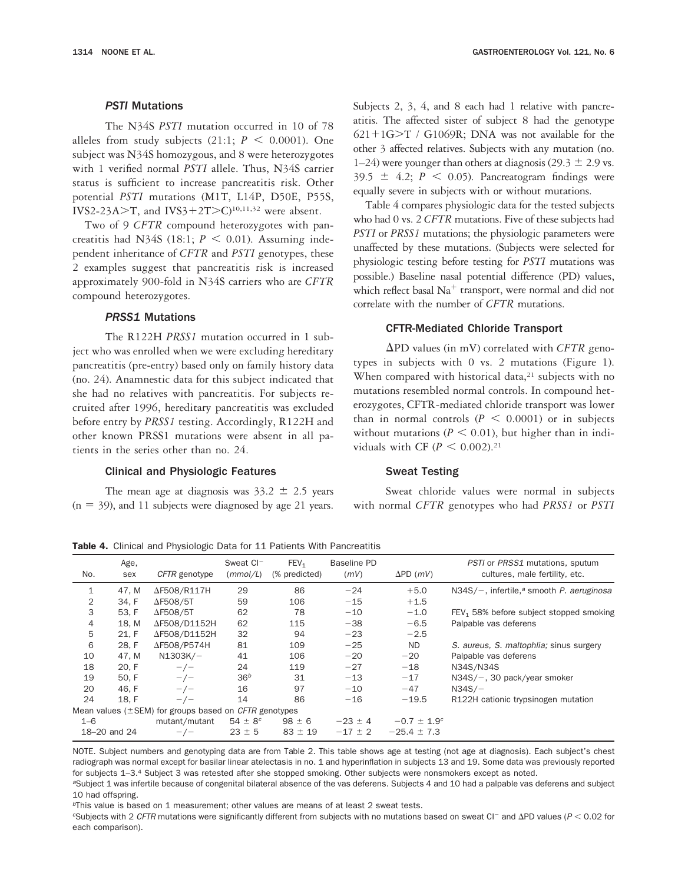#### *PSTI* Mutations

The N34S *PSTI* mutation occurred in 10 of 78 alleles from study subjects (21:1;  $P < 0.0001$ ). One subject was N34S homozygous, and 8 were heterozygotes with 1 verified normal *PSTI* allele. Thus, N34S carrier status is sufficient to increase pancreatitis risk. Other potential *PSTI* mutations (M1T, L14P, D50E, P55S, IVS2-23A $\ge$ T, and IVS3+2T $\ge$ C)<sup>10,11,32</sup> were absent.

Two of 9 *CFTR* compound heterozygotes with pancreatitis had N34S (18:1;  $P < 0.01$ ). Assuming independent inheritance of *CFTR* and *PSTI* genotypes, these 2 examples suggest that pancreatitis risk is increased approximately 900-fold in N34S carriers who are *CFTR* compound heterozygotes.

## *PRSS1* Mutations

The R122H *PRSS1* mutation occurred in 1 subject who was enrolled when we were excluding hereditary pancreatitis (pre-entry) based only on family history data (no. 24). Anamnestic data for this subject indicated that she had no relatives with pancreatitis. For subjects recruited after 1996, hereditary pancreatitis was excluded before entry by *PRSS1* testing. Accordingly, R122H and other known PRSS1 mutations were absent in all patients in the series other than no. 24.

#### Clinical and Physiologic Features

The mean age at diagnosis was  $33.2 \pm 2.5$  years  $(n = 39)$ , and 11 subjects were diagnosed by age 21 years.

Subjects 2, 3, 4, and 8 each had 1 relative with pancreatitis. The affected sister of subject 8 had the genotype  $621+1G>T$  / G1069R; DNA was not available for the other 3 affected relatives. Subjects with any mutation (no. 1–24) were younger than others at diagnosis (29.3  $\pm$  2.9 vs.  $39.5 \pm 4.2$ ;  $P \le 0.05$ ). Pancreatogram findings were equally severe in subjects with or without mutations.

Table 4 compares physiologic data for the tested subjects who had 0 vs. 2 *CFTR* mutations. Five of these subjects had *PSTI* or *PRSS1* mutations; the physiologic parameters were unaffected by these mutations. (Subjects were selected for physiologic testing before testing for *PSTI* mutations was possible.) Baseline nasal potential difference (PD) values, which reflect basal  $Na<sup>+</sup>$  transport, were normal and did not correlate with the number of *CFTR* mutations.

#### CFTR-Mediated Chloride Transport

 $\Delta$ PD values (in mV) correlated with *CFTR* genotypes in subjects with 0 vs. 2 mutations (Figure 1). When compared with historical data, $21$  subjects with no mutations resembled normal controls. In compound heterozygotes, CFTR-mediated chloride transport was lower than in normal controls  $(P \le 0.0001)$  or in subjects without mutations ( $P \le 0.01$ ), but higher than in individuals with CF ( $P < 0.002$ ).<sup>21</sup>

#### Sweat Testing

Sweat chloride values were normal in subjects with normal *CFTR* genotypes who had *PRSS1* or *PSTI*

No. Age, sex CFTR genotype Sweat CI (mmol/L)  $FEV<sub>1</sub>$ (% predicted) Baseline PD  $(mV)$   $\Delta$ PD  $(mV)$ PSTI or PRSS1 mutations, sputum cultures, male fertility, etc. 1  $47$ , M  $\Delta$ F508/R117H 29 86  $-24$   $+5.0$  N34S/-, infertile,<sup>a</sup> smooth *P. aeruginosa* 2 34, F ΔF508/5T 59 106 -15 +1.5  $3$  53, F  $\Delta$ F508/5T 62 78 -10 -1.0 FEV<sub>1</sub> 58% before subject stopped smoking<br>
4 18, M  $\Delta$ F508/D1152H 62 115 -38 -6.5 Palpable vas deferens Palpable vas deferens 5 21, F ΔF508/D1152H 32 94 -23 -2.5 6 28, F  $\Delta$ F508/P574H 81 109 -25 ND S. aureus, S. maltophlia; sinus surgery 10 47, M N1303K/- 41 106 -20 -20 Palpable vas deferens 18 20, F  $-/-$  24 119  $-27$   $-18$  N34S/N34S<br>19 50. F  $-/-$  36<sup>b</sup> 31  $-13$   $-17$  N34S/-, 30  $-/-$  36<sup>b</sup> 31  $-13$   $-17$  N34S/-, 30 pack/year smoker<br> $-/-$  16 97  $-10$   $-47$  N34S/-20 46, F  $-/-$  16 97 -10 -47 N34S/-24 18, F  $-/-$  14 86  $-16$   $-19.5$  R122H cationic trypsinogen mutation Mean values ( $\pm$ SEM) for groups based on CFTR genotypes 1–6 mutant/mutant  $54 \pm 8^c$   $98 \pm 6$   $-23 \pm 4$   $-0.7 \pm 1.9^c$ 18–20 and 24  $-/-$  23  $\pm$  5 83  $\pm$  19  $-17$   $\pm$  2  $-25.4$   $\pm$  7.3

Table 4. Clinical and Physiologic Data for 11 Patients With Pancreatitis

NOTE. Subject numbers and genotyping data are from Table 2. This table shows age at testing (not age at diagnosis). Each subject's chest radiograph was normal except for basilar linear atelectasis in no. 1 and hyperinflation in subjects 13 and 19. Some data was previously reported for subjects 1-3.4 Subject 3 was retested after she stopped smoking. Other subjects were nonsmokers except as noted.

<sup>a</sup>Subject 1 was infertile because of congenital bilateral absence of the vas deferens. Subjects 4 and 10 had a palpable vas deferens and subject 10 had offspring.

 $b$ This value is based on 1 measurement; other values are means of at least 2 sweat tests.

 $c$ Subjects with 2 CFTR mutations were significantly different from subjects with no mutations based on sweat CI- and  $\Delta$ PD values (P < 0.02 for each comparison).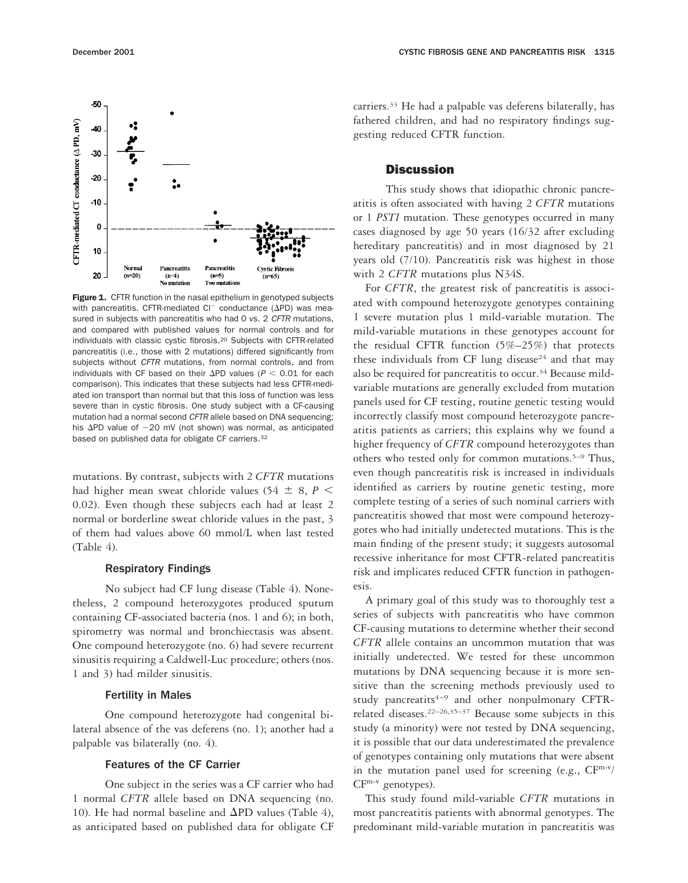

Figure 1. CFTR function in the nasal epithelium in genotyped subjects with pancreatitis. CFTR-mediated Cl<sup>-</sup> conductance ( $\Delta$ PD) was measured in subjects with pancreatitis who had 0 vs. 2 CFTR mutations, and compared with published values for normal controls and for individuals with classic cystic fibrosis.20 Subjects with CFTR-related pancreatitis (i.e., those with 2 mutations) differed significantly from subjects without CFTR mutations, from normal controls, and from individuals with CF based on their  $\Delta$ PD values ( $P < 0.01$  for each comparison). This indicates that these subjects had less CFTR-mediated ion transport than normal but that this loss of function was less severe than in cystic fibrosis. One study subject with a CF-causing mutation had a normal second CFTR allele based on DNA sequencing; his  $\Delta$ PD value of  $-20$  mV (not shown) was normal, as anticipated based on published data for obligate CF carriers.32

mutations. By contrast, subjects with 2 *CFTR* mutations had higher mean sweat chloride values (54  $\pm$  8, *P* < 0.02). Even though these subjects each had at least 2 normal or borderline sweat chloride values in the past, 3 of them had values above 60 mmol/L when last tested  $(Table 4)$ .

## Respiratory Findings

No subject had CF lung disease (Table 4). Nonetheless, 2 compound heterozygotes produced sputum containing CF-associated bacteria (nos. 1 and 6); in both, spirometry was normal and bronchiectasis was absent. One compound heterozygote (no. 6) had severe recurrent sinusitis requiring a Caldwell-Luc procedure; others (nos. 1 and 3) had milder sinusitis.

#### Fertility in Males

One compound heterozygote had congenital bilateral absence of the vas deferens (no. 1); another had a palpable vas bilaterally (no. 4).

#### Features of the CF Carrier

One subject in the series was a CF carrier who had 1 normal *CFTR* allele based on DNA sequencing (no. 10). He had normal baseline and  $\Delta$ PD values (Table 4), as anticipated based on published data for obligate CF carriers.33 He had a palpable vas deferens bilaterally, has fathered children, and had no respiratory findings suggesting reduced CFTR function.

## **Discussion**

This study shows that idiopathic chronic pancreatitis is often associated with having 2 *CFTR* mutations or 1 *PSTI* mutation. These genotypes occurred in many cases diagnosed by age 50 years (16/32 after excluding hereditary pancreatitis) and in most diagnosed by 21 years old (7/10). Pancreatitis risk was highest in those with 2 *CFTR* mutations plus N34S.

For *CFTR*, the greatest risk of pancreatitis is associated with compound heterozygote genotypes containing 1 severe mutation plus 1 mild-variable mutation. The mild-variable mutations in these genotypes account for the residual CFTR function (5%–25%) that protects these individuals from CF lung disease<sup>24</sup> and that may also be required for pancreatitis to occur.<sup>34</sup> Because mildvariable mutations are generally excluded from mutation panels used for CF testing, routine genetic testing would incorrectly classify most compound heterozygote pancreatitis patients as carriers; this explains why we found a higher frequency of *CFTR* compound heterozygotes than others who tested only for common mutations.5–9 Thus, even though pancreatitis risk is increased in individuals identified as carriers by routine genetic testing, more complete testing of a series of such nominal carriers with pancreatitis showed that most were compound heterozygotes who had initially undetected mutations. This is the main finding of the present study; it suggests autosomal recessive inheritance for most CFTR-related pancreatitis risk and implicates reduced CFTR function in pathogenesis.

A primary goal of this study was to thoroughly test a series of subjects with pancreatitis who have common CF-causing mutations to determine whether their second *CFTR* allele contains an uncommon mutation that was initially undetected. We tested for these uncommon mutations by DNA sequencing because it is more sensitive than the screening methods previously used to study pancreatits<sup>4-9</sup> and other nonpulmonary CFTRrelated diseases.22–26,35–37 Because some subjects in this study (a minority) were not tested by DNA sequencing, it is possible that our data underestimated the prevalence of genotypes containing only mutations that were absent in the mutation panel used for screening (e.g.,  $CF<sup>m-v</sup>/$  $CF^{m-v}$  genotypes).

This study found mild-variable *CFTR* mutations in most pancreatitis patients with abnormal genotypes. The predominant mild-variable mutation in pancreatitis was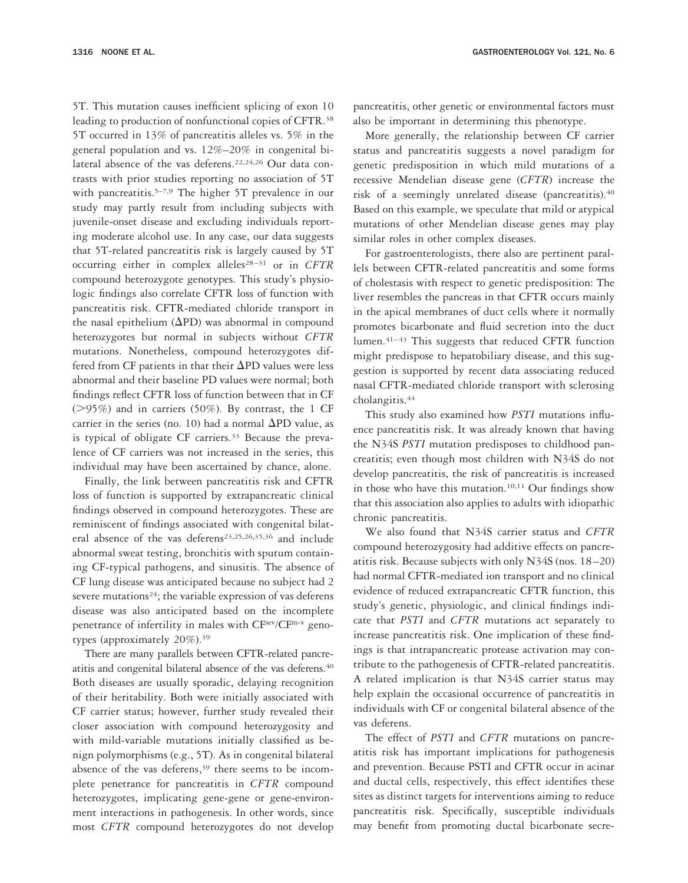5T. This mutation causes inefficient splicing of exon 10 leading to production of nonfunctional copies of CFTR.38 5T occurred in 13% of pancreatitis alleles vs. 5% in the general population and vs. 12%–20% in congenital bilateral absence of the vas deferens.<sup>22,24,26</sup> Our data contrasts with prior studies reporting no association of 5T with pancreatitis.<sup>5–7,9</sup> The higher 5T prevalence in our study may partly result from including subjects with juvenile-onset disease and excluding individuals reporting moderate alcohol use. In any case, our data suggests that 5T-related pancreatitis risk is largely caused by 5T occurring either in complex alleles<sup>28-31</sup> or in CFTR compound heterozygote genotypes. This study's physiologic findings also correlate CFTR loss of function with pancreatitis risk. CFTR-mediated chloride transport in the nasal epithelium  $(\Delta PD)$  was abnormal in compound heterozygotes but normal in subjects without *CFTR* mutations. Nonetheless, compound heterozygotes differed from CF patients in that their  $\Delta$ PD values were less abnormal and their baseline PD values were normal; both findings reflect CFTR loss of function between that in CF  $($ >95%) and in carriers (50%). By contrast, the 1 CF carrier in the series (no. 10) had a normal  $\Delta \text{PD}$  value, as is typical of obligate CF carriers.33 Because the preva-

lence of CF carriers was not increased in the series, this individual may have been ascertained by chance, alone. Finally, the link between pancreatitis risk and CFTR loss of function is supported by extrapancreatic clinical findings observed in compound heterozygotes. These are reminiscent of findings associated with congenital bilateral absence of the vas deferens<sup>23,25,26,35,36</sup> and include abnormal sweat testing, bronchitis with sputum containing CF-typical pathogens, and sinusitis. The absence of CF lung disease was anticipated because no subject had 2 severe mutations<sup>24</sup>; the variable expression of vas deferens disease was also anticipated based on the incomplete

penetrance of infertility in males with CFsev/CFm-v geno-

types (approximately 20%).39 There are many parallels between CFTR-related pancreatitis and congenital bilateral absence of the vas deferens.<sup>40</sup> Both diseases are usually sporadic, delaying recognition of their heritability. Both were initially associated with CF carrier status; however, further study revealed their closer association with compound heterozygosity and with mild-variable mutations initially classified as benign polymorphisms (e.g., 5T). As in congenital bilateral absence of the vas deferens,<sup>39</sup> there seems to be incomplete penetrance for pancreatitis in *CFTR* compound heterozygotes, implicating gene-gene or gene-environment interactions in pathogenesis. In other words, since most *CFTR* compound heterozygotes do not develop pancreatitis, other genetic or environmental factors must also be important in determining this phenotype.

More generally, the relationship between CF carrier status and pancreatitis suggests a novel paradigm for genetic predisposition in which mild mutations of a recessive Mendelian disease gene (*CFTR*) increase the risk of a seemingly unrelated disease (pancreatitis).40 Based on this example, we speculate that mild or atypical mutations of other Mendelian disease genes may play similar roles in other complex diseases.

For gastroenterologists, there also are pertinent parallels between CFTR-related pancreatitis and some forms of cholestasis with respect to genetic predisposition: The liver resembles the pancreas in that CFTR occurs mainly in the apical membranes of duct cells where it normally promotes bicarbonate and fluid secretion into the duct lumen.41–43 This suggests that reduced CFTR function might predispose to hepatobiliary disease, and this suggestion is supported by recent data associating reduced nasal CFTR-mediated chloride transport with sclerosing cholangitis.44

This study also examined how *PSTI* mutations influence pancreatitis risk. It was already known that having the N34S *PSTI* mutation predisposes to childhood pancreatitis; even though most children with N34S do not develop pancreatitis, the risk of pancreatitis is increased in those who have this mutation.10,11 Our findings show that this association also applies to adults with idiopathic chronic pancreatitis.

We also found that N34S carrier status and *CFTR* compound heterozygosity had additive effects on pancreatitis risk. Because subjects with only N34S (nos. 18–20) had normal CFTR-mediated ion transport and no clinical evidence of reduced extrapancreatic CFTR function, this study's genetic, physiologic, and clinical findings indicate that *PSTI* and *CFTR* mutations act separately to increase pancreatitis risk. One implication of these findings is that intrapancreatic protease activation may contribute to the pathogenesis of CFTR-related pancreatitis. A related implication is that N34S carrier status may help explain the occasional occurrence of pancreatitis in individuals with CF or congenital bilateral absence of the vas deferens.

The effect of *PSTI* and *CFTR* mutations on pancreatitis risk has important implications for pathogenesis and prevention. Because PSTI and CFTR occur in acinar and ductal cells, respectively, this effect identifies these sites as distinct targets for interventions aiming to reduce pancreatitis risk. Specifically, susceptible individuals may benefit from promoting ductal bicarbonate secre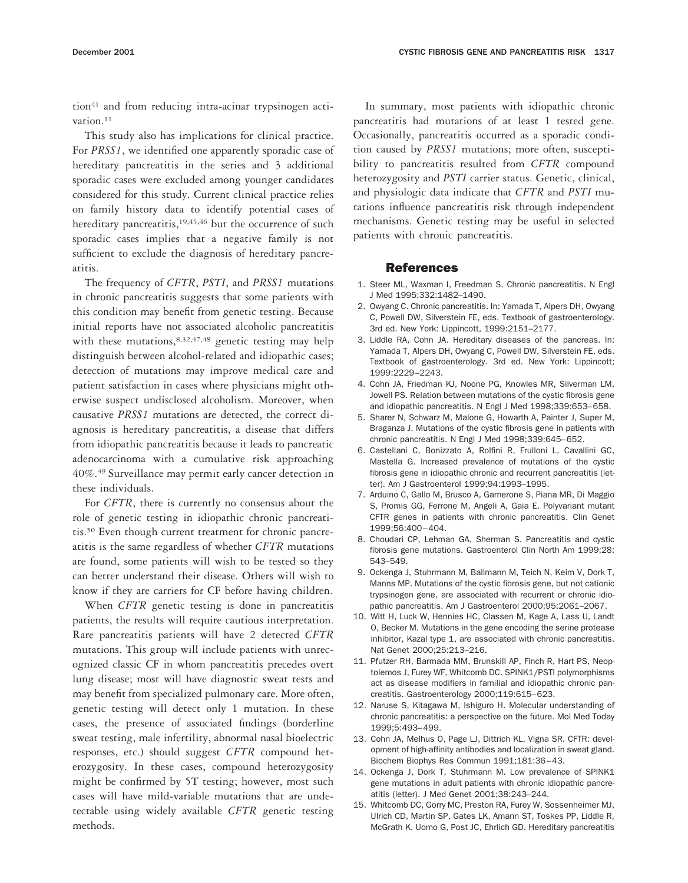tion<sup>41</sup> and from reducing intra-acinar trypsinogen activation.<sup>11</sup>

This study also has implications for clinical practice. For *PRSS1*, we identified one apparently sporadic case of hereditary pancreatitis in the series and 3 additional sporadic cases were excluded among younger candidates considered for this study. Current clinical practice relies on family history data to identify potential cases of hereditary pancreatitis,<sup>19,45,46</sup> but the occurrence of such sporadic cases implies that a negative family is not sufficient to exclude the diagnosis of hereditary pancreatitis.

The frequency of *CFTR*, *PSTI*, and *PRSS1* mutations in chronic pancreatitis suggests that some patients with this condition may benefit from genetic testing. Because initial reports have not associated alcoholic pancreatitis with these mutations,  $8,32,47,48$  genetic testing may help distinguish between alcohol-related and idiopathic cases; detection of mutations may improve medical care and patient satisfaction in cases where physicians might otherwise suspect undisclosed alcoholism. Moreover, when causative *PRSS1* mutations are detected, the correct diagnosis is hereditary pancreatitis, a disease that differs from idiopathic pancreatitis because it leads to pancreatic adenocarcinoma with a cumulative risk approaching 40%.49 Surveillance may permit early cancer detection in these individuals.

For *CFTR*, there is currently no consensus about the role of genetic testing in idiopathic chronic pancreatitis.50 Even though current treatment for chronic pancreatitis is the same regardless of whether *CFTR* mutations are found, some patients will wish to be tested so they can better understand their disease. Others will wish to know if they are carriers for CF before having children.

When *CFTR* genetic testing is done in pancreatitis patients, the results will require cautious interpretation. Rare pancreatitis patients will have 2 detected *CFTR* mutations. This group will include patients with unrecognized classic CF in whom pancreatitis precedes overt lung disease; most will have diagnostic sweat tests and may benefit from specialized pulmonary care. More often, genetic testing will detect only 1 mutation. In these cases, the presence of associated findings (borderline sweat testing, male infertility, abnormal nasal bioelectric responses, etc.) should suggest *CFTR* compound heterozygosity. In these cases, compound heterozygosity might be confirmed by 5T testing; however, most such cases will have mild-variable mutations that are undetectable using widely available *CFTR* genetic testing methods.

In summary, most patients with idiopathic chronic pancreatitis had mutations of at least 1 tested gene. Occasionally, pancreatitis occurred as a sporadic condition caused by *PRSS1* mutations; more often, susceptibility to pancreatitis resulted from *CFTR* compound heterozygosity and *PSTI* carrier status. Genetic, clinical, and physiologic data indicate that *CFTR* and *PSTI* mutations influence pancreatitis risk through independent mechanisms. Genetic testing may be useful in selected patients with chronic pancreatitis.

#### References

- 1. Steer ML, Waxman I, Freedman S. Chronic pancreatitis. N Engl J Med 1995;332:1482–1490.
- 2. Owyang C. Chronic pancreatitis. In: Yamada T, Alpers DH, Owyang C, Powell DW, Silverstein FE, eds. Textbook of gastroenterology. 3rd ed. New York: Lippincott, 1999:2151–2177.
- 3. Liddle RA, Cohn JA. Hereditary diseases of the pancreas. In: Yamada T, Alpers DH, Owyang C, Powell DW, Silverstein FE, eds. Textbook of gastroenterology. 3rd ed. New York: Lippincott; 1999:2229–2243.
- 4. Cohn JA, Friedman KJ, Noone PG, Knowles MR, Silverman LM, Jowell PS. Relation between mutations of the cystic fibrosis gene and idiopathic pancreatitis. N Engl J Med 1998;339:653–658.
- 5. Sharer N, Schwarz M, Malone G, Howarth A, Painter J, Super M, Braganza J. Mutations of the cystic fibrosis gene in patients with chronic pancreatitis. N Engl J Med 1998;339:645–652.
- 6. Castellani C, Bonizzato A, Rolfini R, Frulloni L, Cavallini GC, Mastella G. Increased prevalence of mutations of the cystic fibrosis gene in idiopathic chronic and recurrent pancreatitis (letter). Am J Gastroenterol 1999;94:1993–1995.
- 7. Arduino C, Gallo M, Brusco A, Garnerone S, Piana MR, Di Maggio S, Promis GG, Ferrone M, Angeli A, Gaia E. Polyvariant mutant CFTR genes in patients with chronic pancreatitis. Clin Genet 1999;56:400–404.
- 8. Choudari CP, Lehman GA, Sherman S. Pancreatitis and cystic fibrosis gene mutations. Gastroenterol Clin North Am 1999;28: 543–549.
- 9. Ockenga J, Stuhrmann M, Ballmann M, Teich N, Keim V, Dork T, Manns MP. Mutations of the cystic fibrosis gene, but not cationic trypsinogen gene, are associated with recurrent or chronic idiopathic pancreatitis. Am J Gastroenterol 2000;95:2061–2067.
- 10. Witt H, Luck W, Hennies HC, Classen M, Kage A, Lass U, Landt O, Becker M. Mutations in the gene encoding the serine protease inhibitor, Kazal type 1, are associated with chronic pancreatitis. Nat Genet 2000;25:213–216.
- 11. Pfutzer RH, Barmada MM, Brunskill AP, Finch R, Hart PS, Neoptolemos J, Furey WF, Whitcomb DC. SPINK1/PSTI polymorphisms act as disease modifiers in familial and idiopathic chronic pancreatitis. Gastroenterology 2000;119:615–623.
- 12. Naruse S, Kitagawa M, Ishiguro H. Molecular understanding of chronic pancreatitis: a perspective on the future. Mol Med Today 1999;5:493–499.
- 13. Cohn JA, Melhus O, Page LJ, Dittrich KL, Vigna SR. CFTR: development of high-affinity antibodies and localization in sweat gland. Biochem Biophys Res Commun 1991;181:36–43.
- 14. Ockenga J, Dork T, Stuhrmann M. Low prevalence of SPINK1 gene mutations in adult patients with chronic idiopathic pancreatitis (letter). J Med Genet 2001;38:243–244.
- 15. Whitcomb DC, Gorry MC, Preston RA, Furey W, Sossenheimer MJ, Ulrich CD, Martin SP, Gates LK, Amann ST, Toskes PP, Liddle R, McGrath K, Uomo G, Post JC, Ehrlich GD. Hereditary pancreatitis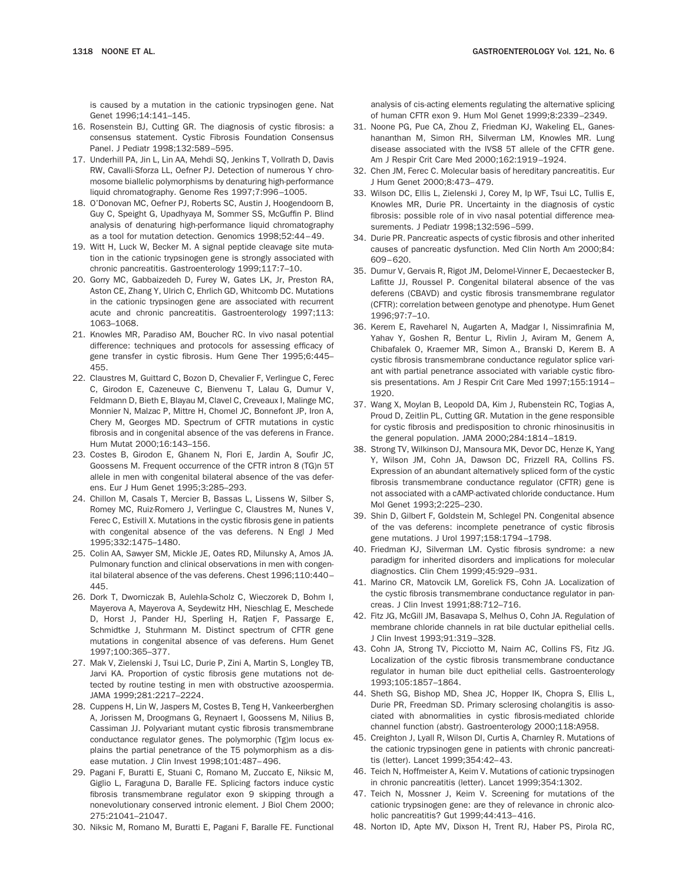is caused by a mutation in the cationic trypsinogen gene. Nat Genet 1996;14:141–145.

- 16. Rosenstein BJ, Cutting GR. The diagnosis of cystic fibrosis: a consensus statement. Cystic Fibrosis Foundation Consensus Panel. J Pediatr 1998;132:589–595.
- 17. Underhill PA, Jin L, Lin AA, Mehdi SQ, Jenkins T, Vollrath D, Davis RW, Cavalli-Sforza LL, Oefner PJ. Detection of numerous Y chromosome biallelic polymorphisms by denaturing high-performance liquid chromatography. Genome Res 1997;7:996–1005.
- 18. O'Donovan MC, Oefner PJ, Roberts SC, Austin J, Hoogendoorn B, Guy C, Speight G, Upadhyaya M, Sommer SS, McGuffin P. Blind analysis of denaturing high-performance liquid chromatography as a tool for mutation detection. Genomics 1998;52:44–49.
- 19. Witt H, Luck W, Becker M. A signal peptide cleavage site mutation in the cationic trypsinogen gene is strongly associated with chronic pancreatitis. Gastroenterology 1999;117:7–10.
- 20. Gorry MC, Gabbaizedeh D, Furey W, Gates LK, Jr, Preston RA, Aston CE, Zhang Y, Ulrich C, Ehrlich GD, Whitcomb DC. Mutations in the cationic trypsinogen gene are associated with recurrent acute and chronic pancreatitis. Gastroenterology 1997;113: 1063–1068.
- 21. Knowles MR, Paradiso AM, Boucher RC. In vivo nasal potential difference: techniques and protocols for assessing efficacy of gene transfer in cystic fibrosis. Hum Gene Ther 1995;6:445– 455.
- 22. Claustres M, Guittard C, Bozon D, Chevalier F, Verlingue C, Ferec C, Girodon E, Cazeneuve C, Bienvenu T, Lalau G, Dumur V, Feldmann D, Bieth E, Blayau M, Clavel C, Creveaux I, Malinge MC, Monnier N, Malzac P, Mittre H, Chomel JC, Bonnefont JP, Iron A, Chery M, Georges MD. Spectrum of CFTR mutations in cystic fibrosis and in congenital absence of the vas deferens in France. Hum Mutat 2000;16:143–156.
- 23. Costes B, Girodon E, Ghanem N, Flori E, Jardin A, Soufir JC, Goossens M. Frequent occurrence of the CFTR intron 8 (TG)n 5T allele in men with congenital bilateral absence of the vas deferens. Eur J Hum Genet 1995;3:285–293.
- 24. Chillon M, Casals T, Mercier B, Bassas L, Lissens W, Silber S, Romey MC, Ruiz-Romero J, Verlingue C, Claustres M, Nunes V, Ferec C, Estivill X. Mutations in the cystic fibrosis gene in patients with congenital absence of the vas deferens. N Engl J Med 1995;332:1475–1480.
- 25. Colin AA, Sawyer SM, Mickle JE, Oates RD, Milunsky A, Amos JA. Pulmonary function and clinical observations in men with congenital bilateral absence of the vas deferens. Chest 1996;110:440– 445.
- 26. Dork T, Dworniczak B, Aulehla-Scholz C, Wieczorek D, Bohm I, Mayerova A, Mayerova A, Seydewitz HH, Nieschlag E, Meschede D, Horst J, Pander HJ, Sperling H, Ratjen F, Passarge E, Schmidtke J, Stuhrmann M. Distinct spectrum of CFTR gene mutations in congenital absence of vas deferens. Hum Genet 1997;100:365–377.
- 27. Mak V, Zielenski J, Tsui LC, Durie P, Zini A, Martin S, Longley TB, Jarvi KA. Proportion of cystic fibrosis gene mutations not detected by routine testing in men with obstructive azoospermia. JAMA 1999;281:2217–2224.
- 28. Cuppens H, Lin W, Jaspers M, Costes B, Teng H, Vankeerberghen A, Jorissen M, Droogmans G, Reynaert I, Goossens M, Nilius B, Cassiman JJ. Polyvariant mutant cystic fibrosis transmembrane conductance regulator genes. The polymorphic (Tg)m locus explains the partial penetrance of the T5 polymorphism as a disease mutation. J Clin Invest 1998;101:487–496.
- 29. Pagani F, Buratti E, Stuani C, Romano M, Zuccato E, Niksic M, Giglio L, Faraguna D, Baralle FE. Splicing factors induce cystic fibrosis transmembrane regulator exon 9 skipping through a nonevolutionary conserved intronic element. J Biol Chem 2000; 275:21041–21047.
- 30. Niksic M, Romano M, Buratti E, Pagani F, Baralle FE. Functional

analysis of cis-acting elements regulating the alternative splicing of human CFTR exon 9. Hum Mol Genet 1999;8:2339–2349.

- 31. Noone PG, Pue CA, Zhou Z, Friedman KJ, Wakeling EL, Ganeshananthan M, Simon RH, Silverman LM, Knowles MR. Lung disease associated with the IVS8 5T allele of the CFTR gene. Am J Respir Crit Care Med 2000;162:1919–1924.
- 32. Chen JM, Ferec C. Molecular basis of hereditary pancreatitis. Eur J Hum Genet 2000;8:473–479.
- 33. Wilson DC, Ellis L, Zielenski J, Corey M, Ip WF, Tsui LC, Tullis E, Knowles MR, Durie PR. Uncertainty in the diagnosis of cystic fibrosis: possible role of in vivo nasal potential difference measurements. J Pediatr 1998;132:596–599.
- 34. Durie PR. Pancreatic aspects of cystic fibrosis and other inherited causes of pancreatic dysfunction. Med Clin North Am 2000;84: 609–620.
- 35. Dumur V, Gervais R, Rigot JM, Delomel-Vinner E, Decaestecker B, Lafitte JJ, Roussel P. Congenital bilateral absence of the vas deferens (CBAVD) and cystic fibrosis transmembrane regulator (CFTR): correlation between genotype and phenotype. Hum Genet 1996;97:7–10.
- 36. Kerem E, Raveharel N, Augarten A, Madgar I, Nissimrafinia M, Yahav Y, Goshen R, Bentur L, Rivlin J, Aviram M, Genem A, Chibafalek O, Kraemer MR, Simon A., Branski D, Kerem B. A cystic fibrosis transmembrane conductance regulator splice variant with partial penetrance associated with variable cystic fibrosis presentations. Am J Respir Crit Care Med 1997;155:1914– 1920.
- 37. Wang X, Moylan B, Leopold DA, Kim J, Rubenstein RC, Togias A, Proud D, Zeitlin PL, Cutting GR. Mutation in the gene responsible for cystic fibrosis and predisposition to chronic rhinosinusitis in the general population. JAMA 2000;284:1814–1819.
- 38. Strong TV, Wilkinson DJ, Mansoura MK, Devor DC, Henze K, Yang Y, Wilson JM, Cohn JA, Dawson DC, Frizzell RA, Collins FS. Expression of an abundant alternatively spliced form of the cystic fibrosis transmembrane conductance regulator (CFTR) gene is not associated with a cAMP-activated chloride conductance. Hum Mol Genet 1993;2:225–230.
- 39. Shin D, Gilbert F, Goldstein M, Schlegel PN. Congenital absence of the vas deferens: incomplete penetrance of cystic fibrosis gene mutations. J Urol 1997;158:1794–1798.
- 40. Friedman KJ, Silverman LM. Cystic fibrosis syndrome: a new paradigm for inherited disorders and implications for molecular diagnostics. Clin Chem 1999;45:929–931.
- 41. Marino CR, Matovcik LM, Gorelick FS, Cohn JA. Localization of the cystic fibrosis transmembrane conductance regulator in pancreas. J Clin Invest 1991;88:712–716.
- 42. Fitz JG, McGill JM, Basavapa S, Melhus O, Cohn JA. Regulation of membrane chloride channels in rat bile ductular epithelial cells. J Clin Invest 1993;91:319–328.
- 43. Cohn JA, Strong TV, Picciotto M, Nairn AC, Collins FS, Fitz JG. Localization of the cystic fibrosis transmembrane conductance regulator in human bile duct epithelial cells. Gastroenterology 1993;105:1857–1864.
- 44. Sheth SG, Bishop MD, Shea JC, Hopper IK, Chopra S, Ellis L, Durie PR, Freedman SD. Primary sclerosing cholangitis is associated with abnormalities in cystic fibrosis-mediated chloride channel function (abstr). Gastroenterology 2000;118:A958.
- 45. Creighton J, Lyall R, Wilson DI, Curtis A, Charnley R. Mutations of the cationic trypsinogen gene in patients with chronic pancreatitis (letter). Lancet 1999;354:42–43.
- 46. Teich N, Hoffmeister A, Keim V. Mutations of cationic trypsinogen in chronic pancreatitis (letter). Lancet 1999;354:1302.
- 47. Teich N, Mossner J, Keim V. Screening for mutations of the cationic trypsinogen gene: are they of relevance in chronic alcoholic pancreatitis? Gut 1999;44:413–416.
- 48. Norton ID, Apte MV, Dixson H, Trent RJ, Haber PS, Pirola RC,